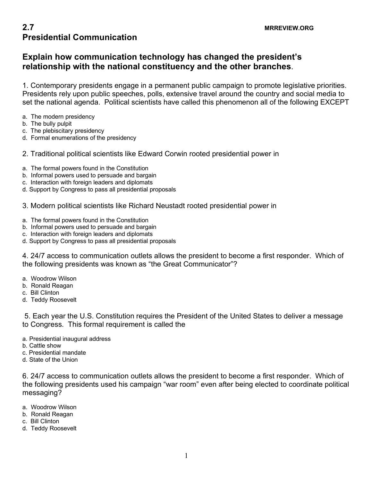## **2.7** MRREVIEW.ORG **Presidential Communication**

## **Explain how communication technology has changed the president's relationship with the national constituency and the other branches**.

1. Contemporary presidents engage in a permanent public campaign to promote legislative priorities. Presidents rely upon public speeches, polls, extensive travel around the country and social media to set the national agenda. Political scientists have called this phenomenon all of the following EXCEPT

- a. The modern presidency
- b. The bully pulpit
- c. The plebiscitary presidency
- d. Formal enumerations of the presidency
- 2. Traditional political scientists like Edward Corwin rooted presidential power in
- a. The formal powers found in the Constitution
- b. Informal powers used to persuade and bargain
- c. Interaction with foreign leaders and diplomats
- d. Support by Congress to pass all presidential proposals
- 3. Modern political scientists like Richard Neustadt rooted presidential power in
- a. The formal powers found in the Constitution
- b. Informal powers used to persuade and bargain
- c. Interaction with foreign leaders and diplomats
- d. Support by Congress to pass all presidential proposals

4. 24/7 access to communication outlets allows the president to become a first responder. Which of the following presidents was known as "the Great Communicator"?

- a. Woodrow Wilson
- b. Ronald Reagan
- c. Bill Clinton
- d. Teddy Roosevelt

5. Each year the U.S. Constitution requires the President of the United States to deliver a message to Congress. This formal requirement is called the

- a. Presidential inaugural address
- b. Cattle show
- c. Presidential mandate
- d. State of the Union

6. 24/7 access to communication outlets allows the president to become a first responder. Which of the following presidents used his campaign "war room" even after being elected to coordinate political messaging?

- a. Woodrow Wilson
- b. Ronald Reagan
- c. Bill Clinton
- d. Teddy Roosevelt